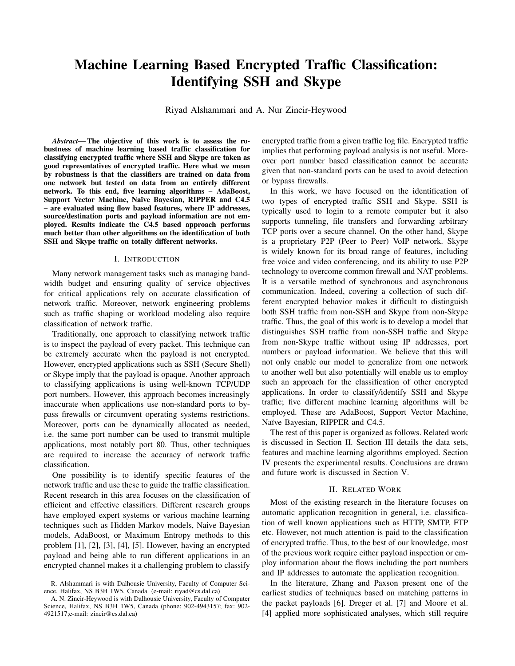# Machine Learning Based Encrypted Traffic Classification: Identifying SSH and Skype

Riyad Alshammari and A. Nur Zincir-Heywood

*Abstract*— The objective of this work is to assess the robustness of machine learning based traffic classification for classifying encrypted traffic where SSH and Skype are taken as good representatives of encrypted traffic. Here what we mean by robustness is that the classifiers are trained on data from one network but tested on data from an entirely different network. To this end, five learning algorithms – AdaBoost, Support Vector Machine, Naïve Bayesian, RIPPER and C4.5 – are evaluated using flow based features, where IP addresses, source/destination ports and payload information are not employed. Results indicate the C4.5 based approach performs much better than other algorithms on the identification of both SSH and Skype traffic on totally different networks.

#### I. INTRODUCTION

Many network management tasks such as managing bandwidth budget and ensuring quality of service objectives for critical applications rely on accurate classification of network traffic. Moreover, network engineering problems such as traffic shaping or workload modeling also require classification of network traffic.

Traditionally, one approach to classifying network traffic is to inspect the payload of every packet. This technique can be extremely accurate when the payload is not encrypted. However, encrypted applications such as SSH (Secure Shell) or Skype imply that the payload is opaque. Another approach to classifying applications is using well-known TCP/UDP port numbers. However, this approach becomes increasingly inaccurate when applications use non-standard ports to bypass firewalls or circumvent operating systems restrictions. Moreover, ports can be dynamically allocated as needed, i.e. the same port number can be used to transmit multiple applications, most notably port 80. Thus, other techniques are required to increase the accuracy of network traffic classification.

One possibility is to identify specific features of the network traffic and use these to guide the traffic classification. Recent research in this area focuses on the classification of efficient and effective classifiers. Different research groups have employed expert systems or various machine learning techniques such as Hidden Markov models, Naive Bayesian models, AdaBoost, or Maximum Entropy methods to this problem [1], [2], [3], [4], [5]. However, having an encrypted payload and being able to run different applications in an encrypted channel makes it a challenging problem to classify

encrypted traffic from a given traffic log file. Encrypted traffic implies that performing payload analysis is not useful. Moreover port number based classification cannot be accurate given that non-standard ports can be used to avoid detection or bypass firewalls.

In this work, we have focused on the identification of two types of encrypted traffic SSH and Skype. SSH is typically used to login to a remote computer but it also supports tunneling, file transfers and forwarding arbitrary TCP ports over a secure channel. On the other hand, Skype is a proprietary P2P (Peer to Peer) VoIP network. Skype is widely known for its broad range of features, including free voice and video conferencing, and its ability to use P2P technology to overcome common firewall and NAT problems. It is a versatile method of synchronous and asynchronous communication. Indeed, covering a collection of such different encrypted behavior makes it difficult to distinguish both SSH traffic from non-SSH and Skype from non-Skype traffic. Thus, the goal of this work is to develop a model that distinguishes SSH traffic from non-SSH traffic and Skype from non-Skype traffic without using IP addresses, port numbers or payload information. We believe that this will not only enable our model to generalize from one network to another well but also potentially will enable us to employ such an approach for the classification of other encrypted applications. In order to classify/identify SSH and Skype traffic; five different machine learning algorithms will be employed. These are AdaBoost, Support Vector Machine, Naïve Bayesian, RIPPER and C4.5.

The rest of this paper is organized as follows. Related work is discussed in Section II. Section III details the data sets, features and machine learning algorithms employed. Section IV presents the experimental results. Conclusions are drawn and future work is discussed in Section V.

# II. RELATED WORK

Most of the existing research in the literature focuses on automatic application recognition in general, i.e. classification of well known applications such as HTTP, SMTP, FTP etc. However, not much attention is paid to the classification of encrypted traffic. Thus, to the best of our knowledge, most of the previous work require either payload inspection or employ information about the flows including the port numbers and IP addresses to automate the application recognition.

In the literature, Zhang and Paxson present one of the earliest studies of techniques based on matching patterns in the packet payloads [6]. Dreger et al. [7] and Moore et al. [4] applied more sophisticated analyses, which still require

R. Alshammari is with Dalhousie University, Faculty of Computer Science, Halifax, NS B3H 1W5, Canada. (e-mail: riyad@cs.dal.ca)

A. N. Zincir-Heywood is with Dalhousie University, Faculty of Computer Science, Halifax, NS B3H 1W5, Canada (phone: 902-4943157; fax: 902- 4921517;e-mail: zincir@cs.dal.ca)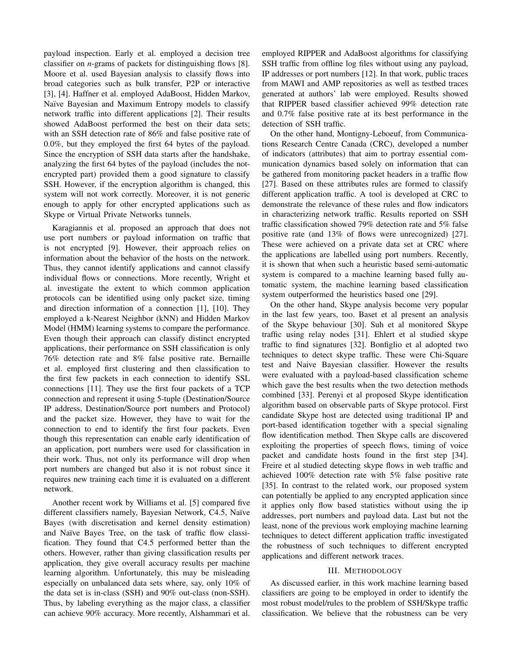payload inspection. Early et al. employed a decision tree classifier on *n*-grams of packets for distinguishing flows [8]. Moore et al. used Bayesian analysis to classify flows into broad categories such as bulk transfer, P2P or interactive [3], [4]. Haffner et al. employed AdaBoost, Hidden Markov, Naïve Bayesian and Maximum Entropy models to classify network traffic into different applications [2]. Their results showed AdaBoost performed the best on their data sets; with an SSH detection rate of 86% and false positive rate of 0.0%, but they employed the first 64 bytes of the payload. Since the encryption of SSH data starts after the handshake, analyzing the first 64 bytes of the payload (includes the notencrypted part) provided them a good signature to classify SSH. However, if the encryption algorithm is changed, this system will not work correctly. Moreover, it is not generic enough to apply for other encrypted applications such as Skype or Virtual Private Networks tunnels.

Karagiannis et al. proposed an approach that does not use port numbers or payload information on traffic that is not encrypted [9]. However, their approach relies on information about the behavior of the hosts on the network. Thus, they cannot identify applications and cannot classify individual flows or connections. More recently, Wright et al. investigate the extent to which common application protocols can be identified using only packet size, timing and direction information of a connection [1], [10]. They employed a k-Nearest Neighbor (kNN) and Hidden Markov Model (HMM) learning systems to compare the performance. Even though their approach can classify distinct encrypted applications, their performance on SSH classification is only 76% detection rate and 8% false positive rate. Bernaille et al. employed first clustering and then classification to the first few packets in each connection to identify SSL connections [11]. They use the first four packets of a TCP connection and represent it using 5-tuple (Destination/Source IP address, Destination/Source port numbers and Protocol) and the packet size. However, they have to wait for the connection to end to identify the first four packets. Even though this representation can enable early identification of an application, port numbers were used for classification in their work. Thus, not only its performance will drop when port numbers are changed but also it is not robust since it requires new training each time it is evaluated on a different network.

Another recent work by Williams et al. [5] compared five different classifiers namely, Bayesian Network, C4.5, Naïve Bayes (with discretisation and kernel density estimation) and Naïve Bayes Tree, on the task of traffic flow classification. They found that C4.5 performed better than the others. However, rather than giving classification results per application, they give overall accuracy results per machine learning algorithm. Unfortunately, this may be misleading especially on unbalanced data sets where, say, only 10% of the data set is in-class (SSH) and 90% out-class (non-SSH). Thus, by labeling everything as the major class, a classifier can achieve 90% accuracy. More recently, Alshammari et al.

employed RIPPER and AdaBoost algorithms for classifying SSH traffic from offline log files without using any payload, IP addresses or port numbers [12]. In that work, public traces from MAWI and AMP repositories as well as testbed traces generated at authors' lab were employed. Results showed that RIPPER based classifier achieved 99% detection rate and 0.7% false positive rate at its best performance in the detection of SSH traffic.

On the other hand, Montigny-Leboeuf, from Communications Research Centre Canada (CRC), developed a number of indicators (attributes) that aim to portray essential communication dynamics based solely on information that can be gathered from monitoring packet headers in a traffic flow [27]. Based on these attributes rules are formed to classify different application traffic. A tool is developed at CRC to demonstrate the relevance of these rules and flow indicators in characterizing network traffic. Results reported on SSH traffic classification showed 79% detection rate and 5% false positive rate (and 13% of flows were unrecognized) [27]. These were achieved on a private data set at CRC where the applications are labelled using port numbers. Recently, it is shown that when such a heuristic based semi-automatic system is compared to a machine learning based fully automatic system, the machine learning based classification system outperformed the heuristics based one [29].

On the other hand, Skype analysis become very popular in the last few years, too. Baset et al present an analysis of the Skype behaviour [30]. Suh et al monitored Skype traffic using relay nodes [31]. Ehlert et al studied skype traffic to find signatures [32]. Bonfiglio et al adopted two techniques to detect skype traffic. These were Chi-Square test and Naive Bayesian classifier. However the results were evaluated with a payload-based classification scheme which gave the best results when the two detection methods combined [33]. Perenyi et al proposed Skype identification algorithm based on observable parts of Skype protocol. First candidate Skype host are detected using traditional IP and port-based identification together with a special signaling flow identification method. Then Skype calls are discovered exploiting the properties of speech flows, timing of voice packet and candidate hosts found in the first step [34]. Freire et al studied detecting skype flows in web traffic and achieved 100% detection rate with 5% false positive rate [35]. In contrast to the related work, our proposed system can potentially be applied to any encrypted application since it applies only flow based statistics without using the ip addresses, port numbers and payload data. Last but not the least, none of the previous work employing machine learning techniques to detect different application traffic investigated the robustness of such techniques to different encrypted applications and different network traces.

# III. METHODOLOGY

As discussed earlier, in this work machine learning based classifiers are going to be employed in order to identify the most robust model/rules to the problem of SSH/Skype traffic classification. We believe that the robustness can be very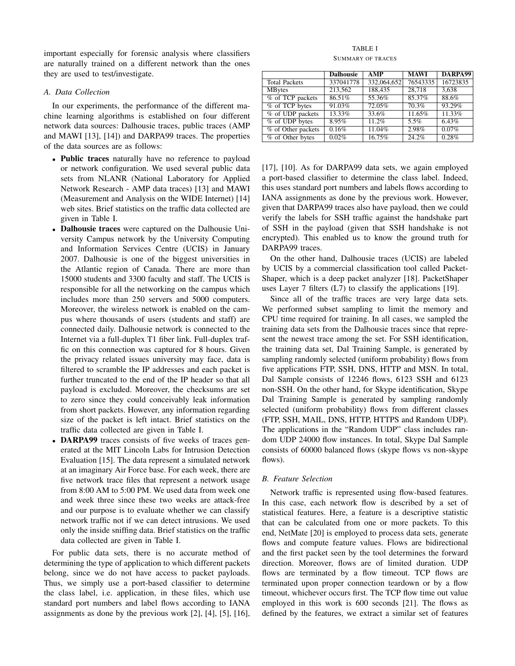important especially for forensic analysis where classifiers are naturally trained on a different network than the ones they are used to test/investigate.

## *A. Data Collection*

In our experiments, the performance of the different machine learning algorithms is established on four different network data sources: Dalhousie traces, public traces (AMP and MAWI [13], [14]) and DARPA99 traces. The properties of the data sources are as follows:

- Public traces naturally have no reference to payload or network configuration. We used several public data sets from NLANR (National Laboratory for Applied Network Research - AMP data traces) [13] and MAWI (Measurement and Analysis on the WIDE Internet) [14] web sites. Brief statistics on the traffic data collected are given in Table I.
- **Dalhousie traces** were captured on the Dalhousie University Campus network by the University Computing and Information Services Centre (UCIS) in January 2007. Dalhousie is one of the biggest universities in the Atlantic region of Canada. There are more than 15000 students and 3300 faculty and staff. The UCIS is responsible for all the networking on the campus which includes more than 250 servers and 5000 computers. Moreover, the wireless network is enabled on the campus where thousands of users (students and staff) are connected daily. Dalhousie network is connected to the Internet via a full-duplex T1 fiber link. Full-duplex traffic on this connection was captured for 8 hours. Given the privacy related issues university may face, data is filtered to scramble the IP addresses and each packet is further truncated to the end of the IP header so that all payload is excluded. Moreover, the checksums are set to zero since they could conceivably leak information from short packets. However, any information regarding size of the packet is left intact. Brief statistics on the traffic data collected are given in Table I.
- DARPA99 traces consists of five weeks of traces generated at the MIT Lincoln Labs for Intrusion Detection Evaluation [15]. The data represent a simulated network at an imaginary Air Force base. For each week, there are five network trace files that represent a network usage from 8:00 AM to 5:00 PM. We used data from week one and week three since these two weeks are attack-free and our purpose is to evaluate whether we can classify network traffic not if we can detect intrusions. We used only the inside sniffing data. Brief statistics on the traffic data collected are given in Table I.

For public data sets, there is no accurate method of determining the type of application to which different packets belong, since we do not have access to packet payloads. Thus, we simply use a port-based classifier to determine the class label, i.e. application, in these files, which use standard port numbers and label flows according to IANA assignments as done by the previous work [2], [4], [5], [16],

TABLE I

SUMMARY OF TRACES

|                      | <b>Dalhousie</b> | AMP         | <b>MAWI</b> | DARPA99  |
|----------------------|------------------|-------------|-------------|----------|
| <b>Total Packets</b> | 337041778        | 332,064,652 | 76543335    | 16723835 |
| <b>MB</b> ytes       | 213.562          | 188.435     | 28.718      | 3.638    |
| % of TCP packets     | 86.51%           | 55.36%      | 85.37%      | 88.6%    |
| % of TCP bytes       | 91.03%           | 72.05%      | 70.3%       | 93.29%   |
| % of UDP packets     | 13.33%           | 33.6%       | 11.65%      | 11.33%   |
| % of UDP bytes       | 8.95%            | 11.2%       | $5.5\%$     | 6.43%    |
| % of Other packets   | 0.16%            | 11.04%      | 2.98%       | 0.07%    |
| % of Other bytes     | 0.02%            | 16.75%      | 24.2%       | 0.28%    |

[17], [10]. As for DARPA99 data sets, we again employed a port-based classifier to determine the class label. Indeed, this uses standard port numbers and labels flows according to IANA assignments as done by the previous work. However, given that DARPA99 traces also have payload, then we could verify the labels for SSH traffic against the handshake part of SSH in the payload (given that SSH handshake is not encrypted). This enabled us to know the ground truth for DARPA99 traces.

On the other hand, Dalhousie traces (UCIS) are labeled by UCIS by a commercial classification tool called Packet-Shaper, which is a deep packet analyzer [18]. PacketShaper uses Layer 7 filters (L7) to classify the applications [19].

Since all of the traffic traces are very large data sets. We performed subset sampling to limit the memory and CPU time required for training. In all cases, we sampled the training data sets from the Dalhousie traces since that represent the newest trace among the set. For SSH identification, the training data set, Dal Training Sample, is generated by sampling randomly selected (uniform probability) flows from five applications FTP, SSH, DNS, HTTP and MSN. In total, Dal Sample consists of 12246 flows, 6123 SSH and 6123 non-SSH. On the other hand, for Skype identification, Skype Dal Training Sample is generated by sampling randomly selected (uniform probability) flows from different classes (FTP, SSH, MAIL, DNS, HTTP, HTTPS and Random UDP). The applications in the "Random UDP" class includes random UDP 24000 flow instances. In total, Skype Dal Sample consists of 60000 balanced flows (skype flows vs non-skype flows).

### *B. Feature Selection*

Network traffic is represented using flow-based features. In this case, each network flow is described by a set of statistical features. Here, a feature is a descriptive statistic that can be calculated from one or more packets. To this end, NetMate [20] is employed to process data sets, generate flows and compute feature values. Flows are bidirectional and the first packet seen by the tool determines the forward direction. Moreover, flows are of limited duration. UDP flows are terminated by a flow timeout. TCP flows are terminated upon proper connection teardown or by a flow timeout, whichever occurs first. The TCP flow time out value employed in this work is 600 seconds [21]. The flows as defined by the features, we extract a similar set of features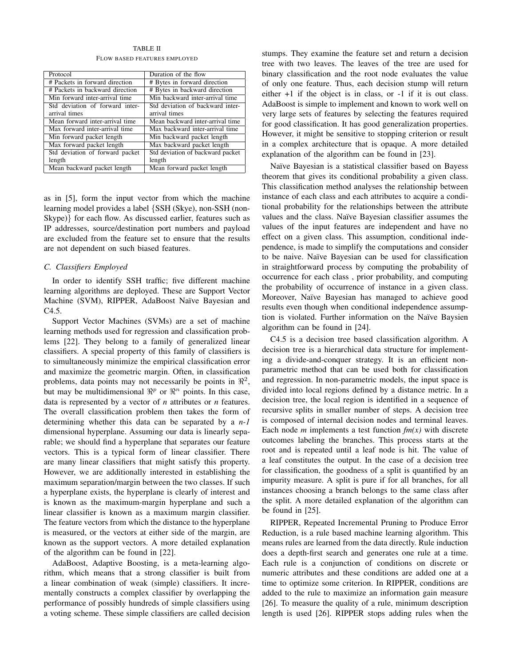#### TABLE II

FLOW BASED FEATURES EMPLOYED

| Protocol                                         | Duration of the flow                              |
|--------------------------------------------------|---------------------------------------------------|
| # Packets in forward direction                   | # Bytes in forward direction                      |
| # Packets in backward direction                  | # Bytes in backward direction                     |
| Min forward inter-arrival time                   | Min backward inter-arrival time                   |
| Std deviation of forward inter-<br>arrival times | Std deviation of backward inter-<br>arrival times |
| Mean forward inter-arrival time                  | Mean backward inter-arrival time                  |
| Max forward inter-arrival time                   | Max backward inter-arrival time                   |
| Min forward packet length                        | Min backward packet length                        |
| Max forward packet length                        | Max backward packet length                        |
| Std deviation of forward packet                  | Std deviation of backward packet                  |
| length                                           | length                                            |
| Mean backward packet length                      | Mean forward packet length                        |

as in [5], form the input vector from which the machine learning model provides a label {SSH (Skye), non-SSH (non-Skype)} for each flow. As discussed earlier, features such as IP addresses, source/destination port numbers and payload are excluded from the feature set to ensure that the results are not dependent on such biased features.

## *C. Classifiers Employed*

In order to identify SSH traffic; five different machine learning algorithms are deployed. These are Support Vector Machine (SVM), RIPPER, AdaBoost Naïve Bayesian and C4.5.

Support Vector Machines (SVMs) are a set of machine learning methods used for regression and classification problems [22]. They belong to a family of generalized linear classifiers. A special property of this family of classifiers is to simultaneously minimize the empirical classification error and maximize the geometric margin. Often, in classification problems, data points may not necessarily be points in  $\mathbb{R}^2$ , but may be multidimensional  $\mathbb{R}^p$  or  $\mathbb{R}^n$  points. In this case, data is represented by a vector of *n* attributes or *n* features. The overall classification problem then takes the form of determining whether this data can be separated by a *n-1* dimensional hyperplane. Assuming our data is linearly separable; we should find a hyperplane that separates our feature vectors. This is a typical form of linear classifier. There are many linear classifiers that might satisfy this property. However, we are additionally interested in establishing the maximum separation/margin between the two classes. If such a hyperplane exists, the hyperplane is clearly of interest and is known as the maximum-margin hyperplane and such a linear classifier is known as a maximum margin classifier. The feature vectors from which the distance to the hyperplane is measured, or the vectors at either side of the margin, are known as the support vectors. A more detailed explanation of the algorithm can be found in [22].

AdaBoost, Adaptive Boosting, is a meta-learning algorithm, which means that a strong classifier is built from a linear combination of weak (simple) classifiers. It incrementally constructs a complex classifier by overlapping the performance of possibly hundreds of simple classifiers using a voting scheme. These simple classifiers are called decision

stumps. They examine the feature set and return a decision tree with two leaves. The leaves of the tree are used for binary classification and the root node evaluates the value of only one feature. Thus, each decision stump will return either +1 if the object is in class, or -1 if it is out class. AdaBoost is simple to implement and known to work well on very large sets of features by selecting the features required for good classification. It has good generalization properties. However, it might be sensitive to stopping criterion or result in a complex architecture that is opaque. A more detailed explanation of the algorithm can be found in [23].

Naïve Bayesian is a statistical classifier based on Bayess theorem that gives its conditional probability a given class. This classification method analyses the relationship between instance of each class and each attributes to acquire a conditional probability for the relationships between the attribute values and the class. Naïve Bayesian classifier assumes the values of the input features are independent and have no effect on a given class. This assumption, conditional independence, is made to simplify the computations and consider to be naive. Na¨ıve Bayesian can be used for classification in straightforward process by computing the probability of occurrence for each class , prior probability, and computing the probability of occurrence of instance in a given class. Moreover, Naïve Bayesian has managed to achieve good results even though when conditional independence assumption is violated. Further information on the Naïve Baysien algorithm can be found in [24].

C4.5 is a decision tree based classification algorithm. A decision tree is a hierarchical data structure for implementing a divide-and-conquer strategy. It is an efficient nonparametric method that can be used both for classification and regression. In non-parametric models, the input space is divided into local regions defined by a distance metric. In a decision tree, the local region is identified in a sequence of recursive splits in smaller number of steps. A decision tree is composed of internal decision nodes and terminal leaves. Each node  $m$  implements a test function  $fm(x)$  with discrete outcomes labeling the branches. This process starts at the root and is repeated until a leaf node is hit. The value of a leaf constitutes the output. In the case of a decision tree for classification, the goodness of a split is quantified by an impurity measure. A split is pure if for all branches, for all instances choosing a branch belongs to the same class after the split. A more detailed explanation of the algorithm can be found in [25].

RIPPER, Repeated Incremental Pruning to Produce Error Reduction, is a rule based machine learning algorithm. This means rules are learned from the data directly. Rule induction does a depth-first search and generates one rule at a time. Each rule is a conjunction of conditions on discrete or numeric attributes and these conditions are added one at a time to optimize some criterion. In RIPPER, conditions are added to the rule to maximize an information gain measure [26]. To measure the quality of a rule, minimum description length is used [26]. RIPPER stops adding rules when the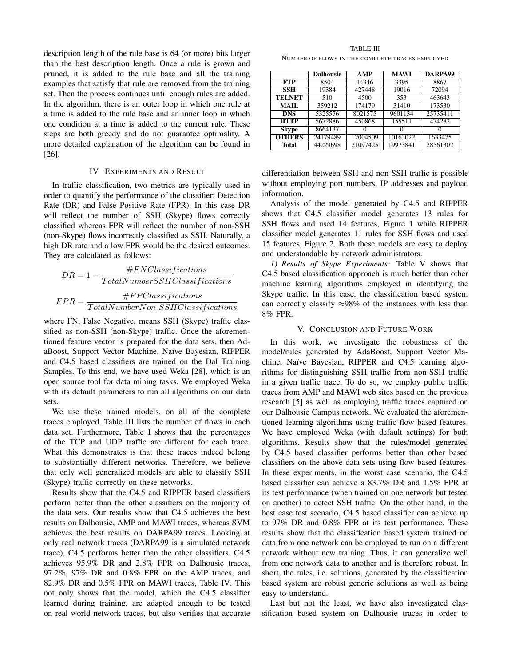description length of the rule base is 64 (or more) bits larger than the best description length. Once a rule is grown and pruned, it is added to the rule base and all the training examples that satisfy that rule are removed from the training set. Then the process continues until enough rules are added. In the algorithm, there is an outer loop in which one rule at a time is added to the rule base and an inner loop in which one condition at a time is added to the current rule. These steps are both greedy and do not guarantee optimality. A more detailed explanation of the algorithm can be found in [26].

# IV. EXPERIMENTS AND RESULT

In traffic classification, two metrics are typically used in order to quantify the performance of the classifier: Detection Rate (DR) and False Positive Rate (FPR). In this case DR will reflect the number of SSH (Skype) flows correctly classified whereas FPR will reflect the number of non-SSH (non-Skype) flows incorrectly classified as SSH. Naturally, a high DR rate and a low FPR would be the desired outcomes. They are calculated as follows:

$$
DR = 1 - \frac{\#FNClassifications}{TotalNumber SSHClassifications}
$$
  

$$
FPR = \frac{\#FPClassifications}{TotalNumberNon\_SSHClassifications}
$$

where FN, False Negative, means SSH (Skype) traffic classified as non-SSH (non-Skype) traffic. Once the aforementioned feature vector is prepared for the data sets, then AdaBoost, Support Vector Machine, Naïve Bayesian, RIPPER and C4.5 based classifiers are trained on the Dal Training Samples. To this end, we have used Weka [28], which is an open source tool for data mining tasks. We employed Weka with its default parameters to run all algorithms on our data sets.

We use these trained models, on all of the complete traces employed. Table III lists the number of flows in each data set. Furthermore, Table I shows that the percentages of the TCP and UDP traffic are different for each trace. What this demonstrates is that these traces indeed belong to substantially different networks. Therefore, we believe that only well generalized models are able to classify SSH (Skype) traffic correctly on these networks.

Results show that the C4.5 and RIPPER based classifiers perform better than the other classifiers on the majority of the data sets. Our results show that C4.5 achieves the best results on Dalhousie, AMP and MAWI traces, whereas SVM achieves the best results on DARPA99 traces. Looking at only real network traces (DARPA99 is a simulated network trace), C4.5 performs better than the other classifiers. C4.5 achieves 95.9% DR and 2.8% FPR on Dalhousie traces, 97.2%, 97% DR and 0.8% FPR on the AMP traces, and 82.9% DR and 0.5% FPR on MAWI traces, Table IV. This not only shows that the model, which the C4.5 classifier learned during training, are adapted enough to be tested on real world network traces, but also verifies that accurate

TABLE III

| NUMBER OF FLOWS IN THE COMPLETE TRACES EMPLOYED |  |
|-------------------------------------------------|--|
|-------------------------------------------------|--|

|               | <b>Dalhousie</b> | <b>AMP</b> | <b>MAWI</b> | DARPA99  |
|---------------|------------------|------------|-------------|----------|
| <b>FTP</b>    | 8504             | 14346      | 3395        | 8867     |
| <b>SSH</b>    | 19384            | 427448     | 19016       | 72094    |
| <b>TELNET</b> | 510              | 4500       | 353         | 463643   |
| <b>MAIL</b>   | 359212           | 174179     | 31410       | 173530   |
| <b>DNS</b>    | 5325576          | 8021575    | 9601134     | 25735411 |
| <b>HTTP</b>   | 5672886          | 450868     | 155511      | 474282   |
| <b>Skype</b>  | 8664137          |            |             |          |
| <b>OTHERS</b> | 24179489         | 12004509   | 10163022    | 1633475  |
| <b>Total</b>  | 44229698         | 21097425   | 19973841    | 28561302 |

differentiation between SSH and non-SSH traffic is possible without employing port numbers, IP addresses and payload information.

Analysis of the model generated by C4.5 and RIPPER shows that C4.5 classifier model generates 13 rules for SSH flows and used 14 features, Figure 1 while RIPPER classifier model generates 11 rules for SSH flows and used 15 features, Figure 2. Both these models are easy to deploy and understandable by network administrators.

*1) Results of Skype Experiments:* Table V shows that C4.5 based classification approach is much better than other machine learning algorithms employed in identifying the Skype traffic. In this case, the classification based system can correctly classify  $\approx 98\%$  of the instances with less than 8% FPR.

## V. CONCLUSION AND FUTURE WORK

In this work, we investigate the robustness of the model/rules generated by AdaBoost, Support Vector Machine, Naïve Bayesian, RIPPER and C4.5 learning algorithms for distinguishing SSH traffic from non-SSH traffic in a given traffic trace. To do so, we employ public traffic traces from AMP and MAWI web sites based on the previous research [5] as well as employing traffic traces captured on our Dalhousie Campus network. We evaluated the aforementioned learning algorithms using traffic flow based features. We have employed Weka (with default settings) for both algorithms. Results show that the rules/model generated by C4.5 based classifier performs better than other based classifiers on the above data sets using flow based features. In these experiments, in the worst case scenario, the C4.5 based classifier can achieve a 83.7% DR and 1.5% FPR at its test performance (when trained on one network but tested on another) to detect SSH traffic. On the other hand, in the best case test scenario, C4.5 based classifier can achieve up to 97% DR and 0.8% FPR at its test performance. These results show that the classification based system trained on data from one network can be employed to run on a different network without new training. Thus, it can generalize well from one network data to another and is therefore robust. In short, the rules, i.e. solutions, generated by the classification based system are robust generic solutions as well as being easy to understand.

Last but not the least, we have also investigated classification based system on Dalhousie traces in order to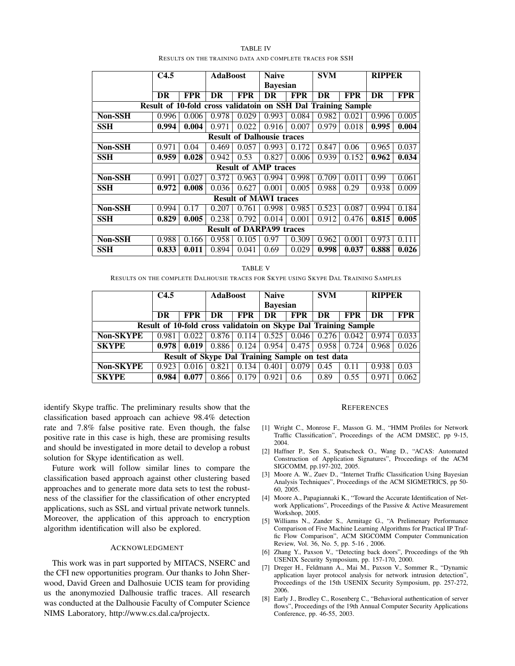|                                 | C4.5                                                          |            | <b>AdaBoost</b> |            | <b>Naive</b>                |            | <b>SVM</b> |            | RIPPER |            |
|---------------------------------|---------------------------------------------------------------|------------|-----------------|------------|-----------------------------|------------|------------|------------|--------|------------|
|                                 |                                                               |            |                 |            | <b>Bayesian</b>             |            |            |            |        |            |
|                                 | DR                                                            | <b>FPR</b> | DR              | <b>FPR</b> | DR                          | <b>FPR</b> | DR         | <b>FPR</b> | DR     | <b>FPR</b> |
|                                 | Result of 10-fold cross validatoin on SSH Dal Training Sample |            |                 |            |                             |            |            |            |        |            |
| <b>Non-SSH</b>                  | 0.996                                                         | 0.006      | 0.978           | 0.029      | 0.993                       | 0.084      | 0.982      | 0.021      | 0.996  | 0.005      |
| SSH                             | 0.994                                                         | 0.004      | 0.971           | 0.022      | 0.916                       | 0.007      | 0.979      | 0.018      | 0.995  | 0.004      |
|                                 | <b>Result of Dalhousie traces</b>                             |            |                 |            |                             |            |            |            |        |            |
| <b>Non-SSH</b>                  | 0.971                                                         | 0.04       | 0.469           | 0.057      | 0.993                       | 0.172      | 0.847      | 0.06       | 0.965  | 0.037      |
| <b>SSH</b>                      | 0.959                                                         | 0.028      | 0.942           | 0.53       | 0.827                       | 0.006      | 0.939      | 0.152      | 0.962  | 0.034      |
|                                 |                                                               |            |                 |            | <b>Result of AMP traces</b> |            |            |            |        |            |
| Non-SSH                         | $\sqrt{0.991}$                                                | 0.027      | 0.372           | 0.963      | 0.994                       | 0.998      | 0.709      | 0.011      | 0.99   | 0.061      |
| <b>SSH</b>                      | 0.972                                                         | 0.008      | 0.036           | 0.627      | 0.001                       | 0.005      | 0.988      | 0.29       | 0.938  | 0.009      |
|                                 | <b>Result of MAWI traces</b>                                  |            |                 |            |                             |            |            |            |        |            |
| <b>Non-SSH</b>                  | 0.994                                                         | 0.17       | 0.207           | 0.761      | 0.998                       | 0.985      | 0.523      | 0.087      | 0.994  | 0.184      |
| <b>SSH</b>                      | 0.829                                                         | 0.005      | 0.238           | 0.792      | 0.014                       | 0.001      | 0.912      | 0.476      | 0.815  | 0.005      |
| <b>Result of DARPA99 traces</b> |                                                               |            |                 |            |                             |            |            |            |        |            |
| <b>Non-SSH</b>                  | 0.988                                                         | 0.166      | 0.958           | 0.105      | 0.97                        | 0.309      | 0.962      | 0.001      | 0.973  | 0.111      |
| SSH                             | 0.833                                                         | 0.011      | 0.894           | 0.041      | 0.69                        | 0.029      | 0.998      | 0.037      | 0.888  | 0.026      |

TABLE IV RESULTS ON THE TRAINING DATA AND COMPLETE TRACES FOR SSH

#### TABLE V

RESULTS ON THE COMPLETE DALHOUSIE TRACES FOR SKYPE USING SKYPE DAL TRAINING SAMPLES

|                                                                 | C4.5  |       | <b>AdaBoost</b> |            | <b>Naive</b> |            | <b>SVM</b> |            | <b>RIPPER</b> |            |
|-----------------------------------------------------------------|-------|-------|-----------------|------------|--------------|------------|------------|------------|---------------|------------|
|                                                                 |       |       | <b>Bayesian</b> |            |              |            |            |            |               |            |
|                                                                 | DR    | FPR   | DR              | <b>FPR</b> | DR           | <b>FPR</b> | DR         | <b>FPR</b> | DR            | <b>FPR</b> |
| Result of 10-fold cross validatoin on Skype Dal Training Sample |       |       |                 |            |              |            |            |            |               |            |
| <b>Non-SKYPE</b>                                                | 0.981 | 0.022 | 0.876           | 0.114      | 0.525        | 0.046      | 0.276      | 0.042      | 0.974         | 0.033      |
| <b>SKYPE</b>                                                    | 0.978 | 0.019 | 0.886           | 0.124      | 0.954        | 0.475      | 0.958      | 0.724      | 0.968         | 0.026      |
| Result of Skype Dal Training Sample on test data                |       |       |                 |            |              |            |            |            |               |            |
| <b>Non-SKYPE</b>                                                | 0.923 | 0.016 | 0.821           | 0.134      | 0.401        | 0.079      | 0.45       | 0.11       | 0.938         | 0.03       |
| <b>SKYPE</b>                                                    | 0.984 | 0.077 | 0.866           | 0.179      | 0.921        | 0.6        | 0.89       | 0.55       | 0.971         | 0.062      |

identify Skype traffic. The preliminary results show that the classification based approach can achieve 98.4% detection rate and 7.8% false positive rate. Even though, the false positive rate in this case is high, these are promising results and should be investigated in more detail to develop a robust solution for Skype identification as well.

Future work will follow similar lines to compare the classification based approach against other clustering based approaches and to generate more data sets to test the robustness of the classifier for the classification of other encrypted applications, such as SSL and virtual private network tunnels. Moreover, the application of this approach to encryption algorithm identification will also be explored.

#### ACKNOWLEDGMENT

This work was in part supported by MITACS, NSERC and the CFI new opportunities program. Our thanks to John Sherwood, David Green and Dalhosuie UCIS team for providing us the anonymozied Dalhousie traffic traces. All research was conducted at the Dalhousie Faculty of Computer Science NIMS Laboratory, http://www.cs.dal.ca/projectx.

#### **REFERENCES**

- [1] Wright C., Monrose F., Masson G. M., "HMM Profiles for Network Traffic Classification", Proceedings of the ACM DMSEC, pp 9-15, 2004.
- [2] Haffner P., Sen S., Spatscheck O., Wang D., "ACAS: Automated Construction of Application Signatures", Proceedings of the ACM SIGCOMM, pp.197-202, 2005.
- [3] Moore A. W., Zuev D., "Internet Traffic Classification Using Bayesian Analysis Techniques", Proceedings of the ACM SIGMETRICS, pp 50- 60, 2005.
- [4] Moore A., Papagiannaki K., "Toward the Accurate Identification of Network Applications", Proceedings of the Passive & Active Measurement Workshop, 2005.
- [5] Williams N., Zander S., Armitage G., "A Prelimenary Performance Comparison of Five Machine Learning Algorithms for Practical IP Traffic Flow Comparison", ACM SIGCOMM Computer Communication Review, Vol. 36, No. 5, pp. 5-16 , 2006.
- [6] Zhang Y., Paxson V., "Detecting back doors", Proceedings of the 9th USENIX Security Symposium, pp. 157-170, 2000.
- [7] Dreger H., Feldmann A., Mai M., Paxson V., Sommer R., "Dynamic application layer protocol analysis for network intrusion detection", Proceedings of the 15th USENIX Security Symposium, pp. 257-272, 2006.
- [8] Early J., Brodley C., Rosenberg C., "Behavioral authentication of server flows", Proceedings of the 19th Annual Computer Security Applications Conference, pp. 46-55, 2003.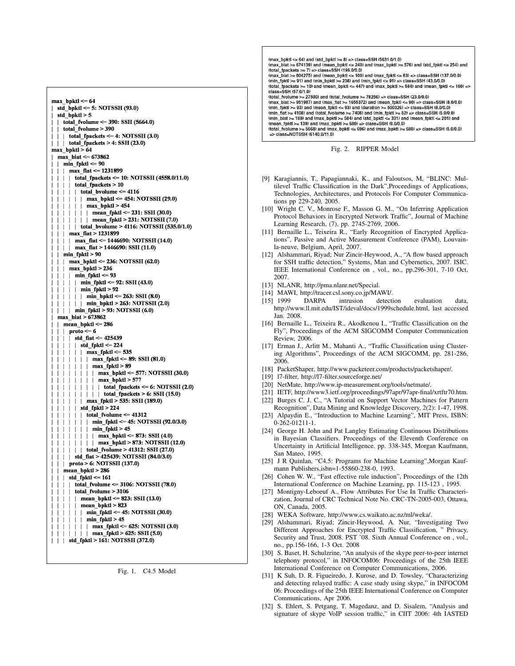```
max bpktl \leq 64std_bpttl \leq 5: NOTSSH (93.0)
   std bpk1 > 5total fvolume \leq 390: SSH (5664.0)
     total fvolume > 390
     | total fpackets <= 4: NOTSSH (3.0)\overrightarrow{a} total frackets > 4: SSH (23.0)
max bpktl > 64
  max\_bia \le 673862min fpktl \Leftarrow 90
        max fiat <= 1231899
          total fpackets <= 10: NOTSSH (4558.0/11.0)total fpackets > 10total byolume \leq 4116\perp\blacksquare\parallel max bpktl <= 454: NOTSSH (29.0)
  1111111max_bpktl > 454mean_fpktl <= 231: SSH (30.0)
  1111\vert \vert \vert \vert \vert mean_fpktl > 231: NOTSSH (7.0)
  \parallel | | total_bvolume > 4116: NOTSSH (535.0/1.0)
|| | max fiat > 1231899
\frac{1}{2} | | max fiat <= 1446690: NOTSSH (14.0)
  \frac{1}{1} max fiat > 1446690: SSH (11.0)
     min_fpktl > 90\overline{1}\parallel max bpktl <= 236: NOTSSH (62.0)
       max bpktl > 236\vert \vert \vert min_fpktl <= 93
  \frac{1}{1} | | min fpktl <= 92: SSH (43.0)
             min fpktl > 92
11111| | | | | min_bpktl <= 263: SSH (8.0)
  | | | | | min_bpktl > 263: NOTSSH (2.0)
  || | | min_fpktl > 93: NOTSSH (6.0)
   max biat > 673862
     mean_bpktl \leq 286\vert proto <= 6
           std fiat \leq 425439
           \overline{\phantom{a}} std_fpktl <= 224
                max_fpktl \le 535\perp\mathbf{I}\frac{1}{2} max_fpktl <= 89: SSH (81.0)
     1 + 1||| || || max fpktl > 89
  \frac{1}{2} \frac{1}{2} \frac{1}{2} \frac{1}{2} \frac{1}{2} \frac{1}{2} \frac{1}{2} \frac{1}{2} \frac{1}{2} \frac{1}{2} \frac{1}{2} \frac{1}{2} \frac{1}{2} \frac{1}{2} \frac{1}{2} \frac{1}{2} \frac{1}{2} \frac{1}{2} \frac{1}{2} \frac{1}{2} \frac{1}{2} \frac{1}{2} \frac{1}{2} \frac{1}{2} \frac{1}{2} \frac{1}{2} \frac{1}{2} \frac{1}{2} \frac{1}{2} \frac{1}{2} \frac{1}{2} \frac{1}{2} \frac{1}{2} \frac{1}{2} \frac{1}{2} \frac{1}{2} \frac{1}{2} \frac{1}{2} \frac{1}{2} \frac{1}{2} \frac{1}{2} \frac{1}{2} \frac{1}{2} \frac{1}{2} \frac{1}{2} | | | | | | | total_fpackets <= 6: NOTSSH (2.0)
  \frac{1}{2} \frac{1}{2} \frac{1}{2} \frac{1}{2} \frac{1}{2} total fpackets > 6: SSH (15.0)
| | | | | | max_fpktl > 535: SSH (189.0)
              std_fpktl > 224
     \perp\vert total fvolume <= 41312
     \perp| min fpktl <= 45: NOTSSH (92.0/3.0)111\frac{1}{1} \frac{1}{1} \frac{1}{1} min_fpktl > 45
  || \t|| || \t|| || \tmax bpktl <= 873: SSH (4.0)
  \vert \vert \vert \vert \vert \vert max_bpktl > 873: NOTSSH (12.0)
  | | | | | total_fvolume > 41312: SSH (27.0)
     | | std_fiat > 425439: NOTSSH (84.0/3.0)| proto > 6: NOTSSH (137.0)
     mean_bpktl > 286
     \vert std_fpktl <= 161
          total fyolume \leq 3106: NOTSSH (78.0)
  \vert | | total fvolume > 3106
  \vert | | mean_bpktl <= 823: SSH (13.0)
             mean bpktl > 823
  1111| | | | | | min_fpktl <= 45: NOTSSH (30.0)
111111min_fpktl > 45| | | | | | | max fpktl <= 625: NOTSSH (3.0)
1 + 1 + 1 = \max fpktl > 625: SSH (5.0)
\vert | | std_fpktl > 161: NOTSSH (372.0)
```
Fig. 1. C4.5 Model

(max boktl  $\leq$  64) and (std boktl  $\geq$  8)  $\Rightarrow$  class=SSH (5631.0/1.0)  $\frac{1}{2}$  and  $\frac{1}{2}$  and  $\frac{1}{2}$  and  $\frac{1}{2}$  be  $\frac{1}{2}$  be  $\frac{1}{2}$  be because the state of the state of the state of the state of the state of the state of the state (total frackets >= 7) => class=SSH (196.00.0  $\frac{\text{(max),photous} - \text{(max, 0.033, 0.033, 0.033, 0.033, 0.033, 0.033, 0.033, 0.033, 0.033, 0.033, 0.033, 0.033, 0.033, 0.033, 0.033, 0.033, 0.033, 0.033, 0.033, 0.033, 0.033, 0.033, 0.033, 0.033, 0.033, 0.033, 0.033, 0.033, 0.033,$ 

 $\frac{1}{2}$  (total\_fpackets >= 10) and (mean\_bpktl <= 447) and (max\_bpktl >= 584) and (mean\_fpktl <= 160) =>  $\frac{1}{2}$  class=SSH (57.0/1.0)<br>(total fyolume >= 27500) and (total fyolume >= 78256) => class=SSH (23.0/0.0)

trotal\_roundle >= 2/3000 and trotal\_roundle >= 16250 >> class=SSH (8.000.0)<br>(min\_fpktl >= 951987) and (max\_fiat >= 1655372) and (mean\_fpktl <= 90) => class=SSH (8.000.0)<br>(min\_fpktl >= 93) and (mean\_fpktl <= 93) and (durat  $\frac{\text{num\_max} - \text{row} \text{ and } \text{num\_max}}{\text{(mean\_fptil >= 139)} \text{ and } \frac{\text{num\_max}}{\text{num\_max}} \text{ (mod } 2 > \text{class} = \text{SSH} \text{ (9.00.0)}$ <br>  $\frac{\text{(mean\_fptil >= 139)}{\text{num\_max}} \text{ and } \frac{\text{(max\_bpktl >= 680)}{1000}} \text{ so class} = \text{SSH} \text{ (9.00.0)} \Rightarrow \text{class} = \text{NSH} \text{ (5.00.0)}$ 

Fig. 2. RIPPER Model

- [9] Karagiannis, T., Papagiannaki, K., and Faloutsos, M, "BLINC: Multilevel Traffic Classification in the Dark",Proceedings of Applications, Technologies, Architectures, and Protocols For Computer Communications pp 229-240, 2005.
- [10] Wright C. V., Monrose F., Masson G. M., "On Inferring Application Protocol Behaviors in Encrypted Network Traffic", Journal of Machine Learning Research, (7), pp. 2745-2769, 2006.
- [11] Bernaille L., Teixeira R., "Early Recognition of Encrypted Applications", Passive and Active Measurement Conference (PAM), Louvainla-neuve, Belgium, April, 2007.
- [12] Alshammari, Riyad; Nur Zincir-Heywood, A., "A flow based approach for SSH traffic detection," Systems, Man and Cybernetics, 2007. ISIC. IEEE International Conference on , vol., no., pp.296-301, 7-10 Oct, 2007.
- [13] NLANR, http://pma.nlanr.net/Special.
- 
- [14] MAWI, http://tracer.csl.sony.co.jp/MAWI/. [15] 1999 DARPA intrusion detection evaluation data, http://www.ll.mit.edu/IST/ideval/docs/1999schedule.html, last accessed Jan. 2008.
- [16] Bernaille L., Teixeira R., Akodkenou I., "Traffic Classification on the Fly", Proceedings of the ACM SIGCOMM Computer Communication Review, 2006.
- [17] Erman J., Arlitt M., Mahanti A., "Traffic Classification using Clustering Algorithms", Proceedings of the ACM SIGCOMM, pp. 281-286, 2006.
- [18] PacketShaper, http://www.packeteer.com/products/packetshaper/.
- [19] l7-filter, http://l7-filter.sourceforge.net/
- [20] NetMate, http://www.ip-measurement.org/tools/netmate/.
- [21] IETF, http://www3.ietf.org/proceedings/97apr/97apr-final/xrtftr70.htm.
- [22] Burges C. J. C., "A Tutorial on Support Vector Machines for Pattern Recognition", Data Mining and Knowledge Discovery, 2(2): 1-47, 1998.
- [23] Alpaydin E., "Introduction to Machine Learning", MIT Press, ISBN: 0-262-01211-1.
- [24] George H. John and Pat Langley Estimating Continuous Distributions in Bayesian Classifiers. Proceedings of the Eleventh Conference on Uncertainty in Artificial Intelligence. pp. 338-345, Morgan Kaufmann, San Mateo, 1995.
- [25] J R Quinlan, "C4.5: Programs for Machine Learning", Morgan Kaufmann Publishers,isbn=1-55860-238-0, 1993.
- [26] Cohen W. W., "Fast effective rule induction", Proceedings of the 12th International Conference on Machine Learning, pp. 115-123 , 1995.
- [27] Montigny-Leboeuf A., Flow Attributes For Use In Traffic Characterization, Journal of CRC Technical Note No. CRC-TN-2005-003, Ottawa, ON, Canada, 2005.
- [28] WEKA Software, http://www.cs.waikato.ac.nz/ml/weka/.
- [29] Alshammari, Riyad; Zincir-Heywood, A. Nur, "Investigating Two Different Approaches for Encrypted Traffic Classification, " Privacy, Security and Trust, 2008. PST '08. Sixth Annual Conference on , vol., no., pp.156-166, 1-3 Oct. 2008
- [30] S. Baset, H. Schulzrine, "An analysis of the skype peer-to-peer internet telephony protocol," in INFOCOM06: Proceedings of the 25th IEEE International Conference on Computer Communications, 2006.
- [31] K Suh, D. R. Figueiredo, J. Kurose, and D. Towsley, "Characterizing and detecting relayed traffic: A case study using skype," in INFOCOM 06: Proceedings of the 25th IEEE International Conference on Computer Communications, Apr 2006.
- [32] S. Ehlert, S. Petgang, T. Magedanz, and D. Sisalem, "Analysis and signature of skype VoIP session traffic," in CIIT 2006: 4th IASTED